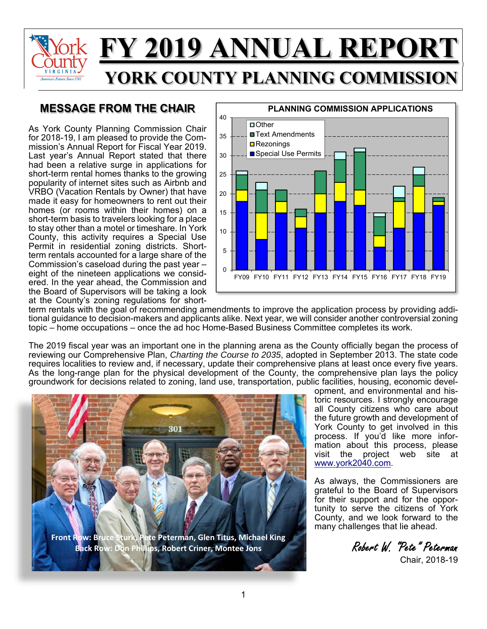

## **MESSAGE FROM THE CHAIR**

As York County Planning Commission Chair for 2018-19, I am pleased to provide the Commission's Annual Report for Fiscal Year 2019. Last year's Annual Report stated that there had been a relative surge in applications for short-term rental homes thanks to the growing popularity of internet sites such as Airbnb and VRBO (Vacation Rentals by Owner) that have made it easy for homeowners to rent out their homes (or rooms within their homes) on a short-term basis to travelers looking for a place to stay other than a motel or timeshare. In York County, this activity requires a Special Use Permit in residential zoning districts. Shortterm rentals accounted for a large share of the Commission's caseload during the past year – eight of the nineteen applications we considered. In the year ahead, the Commission and the Board of Supervisors will be taking a look at the County's zoning regulations for short-



term rentals with the goal of recommending amendments to improve the application process by providing additional guidance to decision-makers and applicants alike. Next year, we will consider another controversial zoning topic – home occupations – once the ad hoc Home-Based Business Committee completes its work.

The 2019 fiscal year was an important one in the planning arena as the County officially began the process of reviewing our Comprehensive Plan, *Charting the Course to 2035*, adopted in September 2013. The state code requires localities to review and, if necessary, update their comprehensive plans at least once every five years. As the long-range plan for the physical development of the County, the comprehensive plan lays the policy groundwork for decisions related to zoning, land use, transportation, public facilities, housing, economic devel-



**Front Row: Bruce Sturk, Pete Peterman, Glen Titus, Michael King Back Row: Don Phillips, Robert Criner, Montee Jons** Robert W. "Pete" Peterman<br>Back Row: Don Phillips, Robert Criner, Montee Jons

opment, and environmental and historic resources. I strongly encourage all County citizens who care about the future growth and development of York County to get involved in this process. If you'd like more infor-.<br>mation about this process, please<br>visit the project web site at project web site at [www.york2040.com.](www.york2040.com)

As always, the Commissioners are grateful to the Board of Supervisors for their support and for the opportunity to serve the citizens of York County, and we look forward to the many challenges that lie ahead.

Chair, 2018-19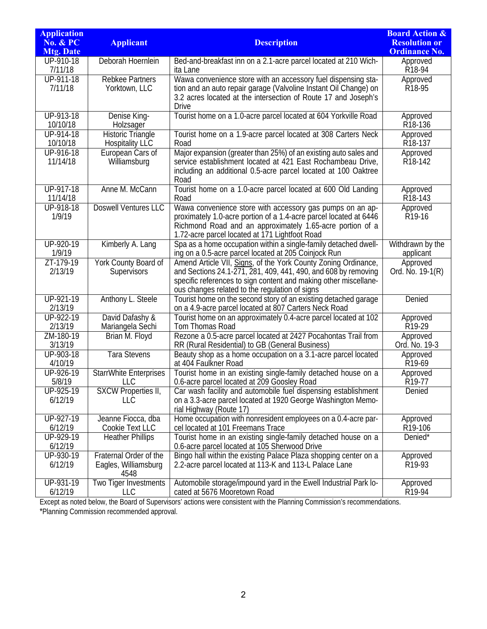| <b>Application</b>                      |                                                    |                                                                                                                                                                                  | <b>Board Action &amp;</b>                    |
|-----------------------------------------|----------------------------------------------------|----------------------------------------------------------------------------------------------------------------------------------------------------------------------------------|----------------------------------------------|
| <b>No. &amp; PC</b><br><b>Mtg. Date</b> | <b>Applicant</b>                                   | <b>Description</b>                                                                                                                                                               | <b>Resolution or</b><br><b>Ordinance No.</b> |
| UP-910-18                               | Deborah Hoernlein                                  | Bed-and-breakfast inn on a 2.1-acre parcel located at 210 Wich-                                                                                                                  | Approved                                     |
| 7/11/18                                 |                                                    | ita Lane                                                                                                                                                                         | R18-94                                       |
| UP-911-18<br>7/11/18                    | <b>Rebkee Partners</b><br>Yorktown, LLC            | Wawa convenience store with an accessory fuel dispensing sta-<br>tion and an auto repair garage (Valvoline Instant Oil Change) on                                                | Approved<br>R18-95                           |
|                                         |                                                    | 3.2 acres located at the intersection of Route 17 and Joseph's<br><b>Drive</b>                                                                                                   |                                              |
| UP-913-18<br>10/10/18                   | Denise King-<br>Holzsager                          | Tourist home on a 1.0-acre parcel located at 604 Yorkville Road                                                                                                                  | Approved<br>R <sub>18</sub> -136             |
| UP-914-18<br>10/10/18                   | <b>Historic Triangle</b><br><b>Hospitality LLC</b> | Tourist home on a 1.9-acre parcel located at 308 Carters Neck<br>Road                                                                                                            | Approved<br>R <sub>18</sub> -137             |
| UP-916-18                               | European Cars of                                   | Major expansion (greater than 25%) of an existing auto sales and                                                                                                                 | Approved                                     |
| 11/14/18                                | Williamsburg                                       | service establishment located at 421 East Rochambeau Drive,<br>including an additional 0.5-acre parcel located at 100 Oaktree<br>Road                                            | R <sub>18</sub> -142                         |
| UP-917-18<br>11/14/18                   | Anne M. McCann                                     | Tourist home on a 1.0-acre parcel located at 600 Old Landing<br>Road                                                                                                             | Approved<br>R18-143                          |
| UP-918-18                               | <b>Doswell Ventures LLC</b>                        | Wawa convenience store with accessory gas pumps on an ap-                                                                                                                        | Approved                                     |
| 1/9/19                                  |                                                    | proximately 1.0-acre portion of a 1.4-acre parcel located at 6446<br>Richmond Road and an approximately 1.65-acre portion of a<br>1.72-acre parcel located at 171 Lightfoot Road | R <sub>19</sub> -16                          |
| UP-920-19<br>1/9/19                     | Kimberly A. Lang                                   | Spa as a home occupation within a single-family detached dwell-<br>ing on a 0.5-acre parcel located at 205 Coinjock Run                                                          | Withdrawn by the<br>applicant                |
| ZT-179-19<br>2/13/19                    | York County Board of<br>Supervisors                | Amend Article VII, Signs, of the York County Zoning Ordinance,<br>and Sections 24.1-271, 281, 409, 441, 490, and 608 by removing                                                 | Approved<br>Ord. No. 19-1(R)                 |
|                                         |                                                    | specific references to sign content and making other miscellane-<br>ous changes related to the regulation of signs                                                               |                                              |
| UP-921-19<br>2/13/19                    | Anthony L. Steele                                  | Tourist home on the second story of an existing detached garage<br>on a 4.9-acre parcel located at 807 Carters Neck Road                                                         | Denied                                       |
| UP-922-19<br>2/13/19                    | David Dafashy &<br>Mariangela Sechi                | Tourist home on an approximately 0.4-acre parcel located at 102<br>Tom Thomas Road                                                                                               | Approved<br>R <sub>19</sub> -29              |
| ZM-180-19<br>3/13/19                    | Brian M. Floyd                                     | Rezone a 0.5-acre parcel located at 2427 Pocahontas Trail from<br>RR (Rural Residential) to GB (General Business)                                                                | Approved<br>Ord. No. 19-3                    |
| UP-903-18<br>4/10/19                    | <b>Tara Stevens</b>                                | Beauty shop as a home occupation on a 3.1-acre parcel located<br>at 404 Faulkner Road                                                                                            | Approved<br>R19-69                           |
| UP-926-19<br>5/8/19                     | <b>StarrWhite Enterprises</b><br><b>LLC</b>        | Tourist home in an existing single-family detached house on a<br>0.6-acre parcel located at 209 Goosley Road                                                                     | Approved<br>R19-77                           |
| UP-925-19                               | <b>SXCW Properties II,</b>                         | Car wash facility and automobile fuel dispensing establishment                                                                                                                   | Denied                                       |
| 6/12/19                                 | LLC                                                | on a 3.3-acre parcel located at 1920 George Washington Memo-<br>rial Highway (Route 17)                                                                                          |                                              |
| UP-927-19<br>6/12/19                    | Jeanne Fiocca, dba<br>Cookie Text LLC              | Home occupation with nonresident employees on a 0.4-acre par-<br>cel located at 101 Freemans Trace                                                                               | Approved<br>R19-106                          |
| UP-929-19<br>6/12/19                    | <b>Heather Phillips</b>                            | Tourist home in an existing single-family detached house on a<br>0.6-acre parcel located at 105 Sherwood Drive                                                                   | Denied*                                      |
| UP-930-19                               | Fraternal Order of the                             | Bingo hall within the existing Palace Plaza shopping center on a                                                                                                                 | Approved                                     |
| 6/12/19                                 | Eagles, Williamsburg<br>4548                       | 2.2-acre parcel located at 113-K and 113-L Palace Lane                                                                                                                           | R19-93                                       |
| UP-931-19<br>6/12/19                    | Two Tiger Investments<br>LLC                       | Automobile storage/impound yard in the Ewell Industrial Park lo-<br>cated at 5676 Mooretown Road                                                                                 | Approved<br>R19-94                           |

Except as noted below, the Board of Supervisors' actions were consistent with the Planning Commission's recommendations. \*Planning Commission recommended approval.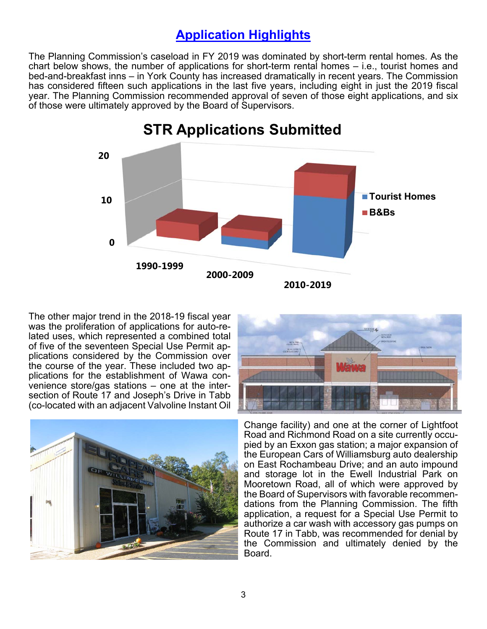## **Application Highlights**

The Planning Commission's caseload in FY 2019 was dominated by short-term rental homes. As the chart below shows, the number of applications for short-term rental homes – i.e., tourist homes and bed-and-breakfast inns – in York County has increased dramatically in recent years. The Commission has considered fifteen such applications in the last five years, including eight in just the 2019 fiscal year. The Planning Commission recommended approval of seven of those eight applications, and six of those were ultimately approved by the Board of Supervisors.



The other major trend in the 2018-19 fiscal year was the proliferation of applications for auto-related uses, which represented a combined total of five of the seventeen Special Use Permit applications considered by the Commission over the course of the year. These included two applications for the establishment of Wawa convenience store/gas stations – one at the intersection of Route 17 and Joseph's Drive in Tabb (co-located with an adjacent Valvoline Instant Oil





 application, a request for a Special Use Permit to Change facility) and one at the corner of Lightfoot Road and Richmond Road on a site currently occupied by an Exxon gas station; a major expansion of the European Cars of Williamsburg auto dealership on East Rochambeau Drive; and an auto impound and storage lot in the Ewell Industrial Park on Mooretown Road, all of which were approved by the Board of Supervisors with favorable recommendations from the Planning Commission. The fifth authorize a car wash with accessory gas pumps on Route 17 in Tabb, was recommended for denial by the Commission and ultimately denied by the Board.